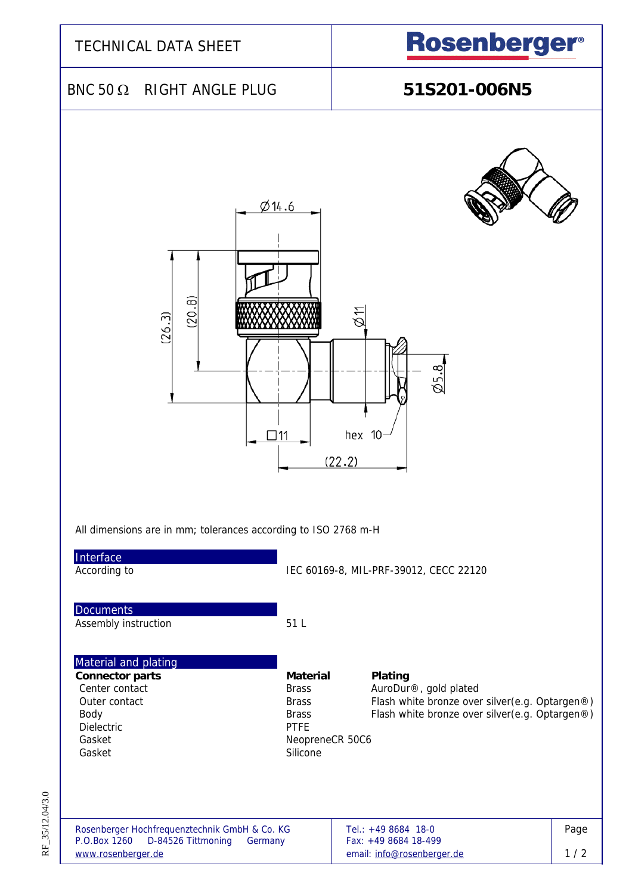| <b>TECHNICAL DATA SHEET</b>                                                                                                                                                                                                                                                                                                                                                                                                   | <b>Rosenberger®</b>                                                                                                                                                                                                                           |  |  |  |
|-------------------------------------------------------------------------------------------------------------------------------------------------------------------------------------------------------------------------------------------------------------------------------------------------------------------------------------------------------------------------------------------------------------------------------|-----------------------------------------------------------------------------------------------------------------------------------------------------------------------------------------------------------------------------------------------|--|--|--|
| BNC 50 $\Omega$ RIGHT ANGLE PLUG                                                                                                                                                                                                                                                                                                                                                                                              | 51S201-006N5                                                                                                                                                                                                                                  |  |  |  |
| Ø14.6<br>(20.8)<br>(26.3)<br>$\Box$ 11<br>All dimensions are in mm; tolerances according to ISO 2768 m-H<br>Interface<br>According to<br><b>Documents</b><br>Assembly instruction<br>51 L<br>Material and plating<br><b>Connector parts</b><br><b>Material</b><br>Center contact<br><b>Brass</b><br>Outer contact<br><b>Brass</b><br>Body<br><b>Brass</b><br><b>Dielectric</b><br><b>PTFE</b><br>Gasket<br>Silicone<br>Gasket | Ξ<br>$\emptyset$ 5.8<br>hex 10<br>(22.2)<br>IEC 60169-8, MIL-PRF-39012, CECC 22120<br>Plating<br>AuroDur®, gold plated<br>Flash white bronze over silver(e.g. Optargen®)<br>Flash white bronze over silver(e.g. Optargen®)<br>NeopreneCR 50C6 |  |  |  |
| Rosenberger Hochfrequenztechnik GmbH & Co. KG<br>P.O.Box 1260<br>D-84526 Tittmoning<br>Germany<br>www.rosenberger.de                                                                                                                                                                                                                                                                                                          | Page<br>Tel.: +49 8684 18-0<br>Fax: +49 8684 18-499<br>1/2<br>email: info@rosenberger.de                                                                                                                                                      |  |  |  |